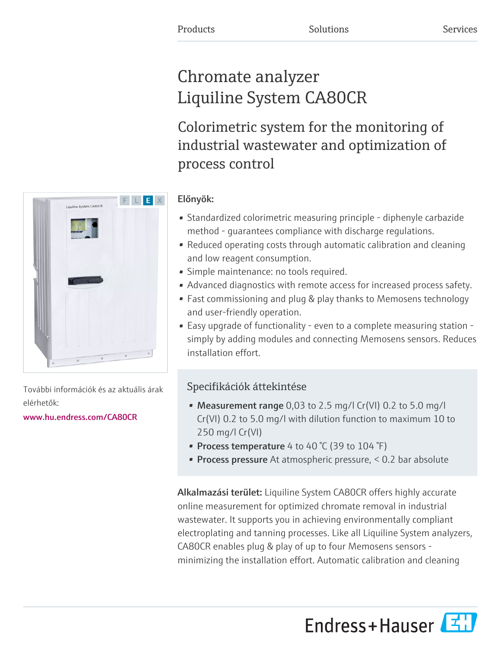# Chromate analyzer Liquiline System CA80CR

Colorimetric system for the monitoring of industrial wastewater and optimization of process control

### Előnyök:

- Standardized colorimetric measuring principle diphenyle carbazide method - guarantees compliance with discharge regulations.
- Reduced operating costs through automatic calibration and cleaning and low reagent consumption.
- Simple maintenance: no tools required.
- Advanced diagnostics with remote access for increased process safety.
- Fast commissioning and plug & play thanks to Memosens technology and user-friendly operation.
- Easy upgrade of functionality even to a complete measuring station simply by adding modules and connecting Memosens sensors. Reduces installation effort.

## Specifikációk áttekintése

- Measurement range 0,03 to 2.5 mg/l Cr(VI) 0.2 to 5.0 mg/l Cr(VI) 0.2 to 5.0 mg/l with dilution function to maximum 10 to 250 mg/l Cr(VI)
- Process temperature 4 to 40 °C (39 to 104 °F)
- **Process pressure** At atmospheric pressure,  $< 0.2$  bar absolute

Alkalmazási terület: Liquiline System CA80CR offers highly accurate online measurement for optimized chromate removal in industrial wastewater. It supports you in achieving environmentally compliant electroplating and tanning processes. Like all Liquiline System analyzers, CA80CR enables plug & play of up to four Memosens sensors minimizing the installation effort. Automatic calibration and cleaning





További információk és az aktuális árak elérhetők:

[www.hu.endress.com/CA80CR](https://www.hu.endress.com/CA80CR)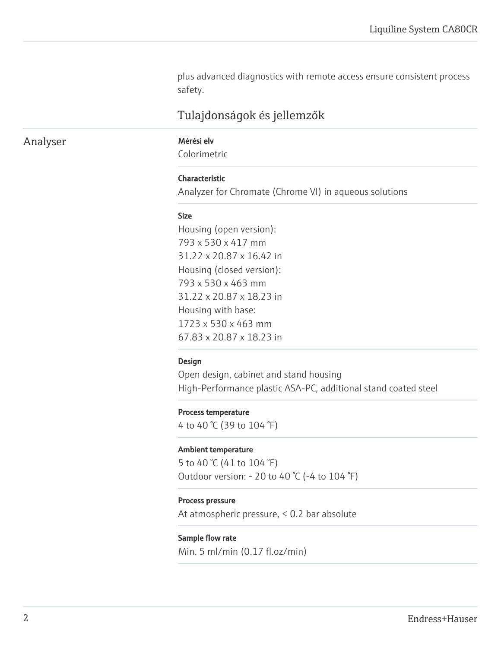plus advanced diagnostics with remote access ensure consistent process safety.

### Tulajdonságok és jellemzők

### Analyser Mérési elv

Colorimetric

#### Characteristic

Analyzer for Chromate (Chrome VI) in aqueous solutions

#### Size

Housing (open version): 793 x 530 x 417 mm 31.22 x 20.87 x 16.42 in Housing (closed version): 793 x 530 x 463 mm 31.22 x 20.87 x 18.23 in Housing with base: 1723 x 530 x 463 mm 67.83 x 20.87 x 18.23 in

#### Design

Open design, cabinet and stand housing High-Performance plastic ASA-PC, additional stand coated steel

#### Process temperature

4 to 40 °C (39 to 104 °F)

#### Ambient temperature

5 to 40 °C (41 to 104 °F) Outdoor version: - 20 to 40 °C (-4 to 104 °F)

#### Process pressure

At atmospheric pressure, < 0.2 bar absolute

#### Sample flow rate

Min. 5 ml/min (0.17 fl.oz/min)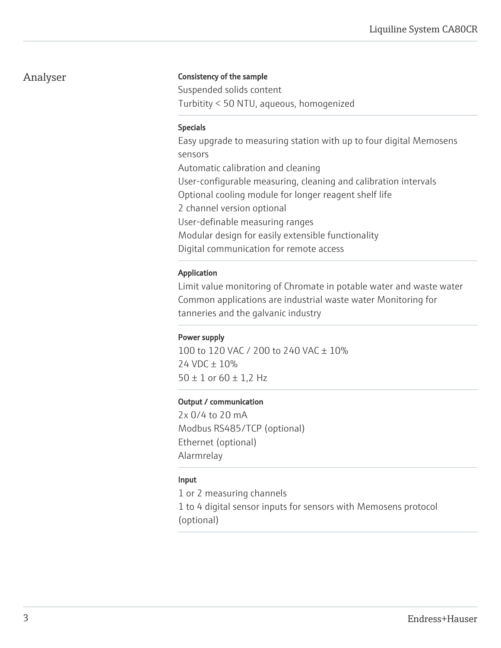### Analyser

#### Consistency of the sample

Suspended solids content Turbitity < 50 NTU, aqueous, homogenized

#### Specials

Easy upgrade to measuring station with up to four digital Memosens sensors Automatic calibration and cleaning User-configurable measuring, cleaning and calibration intervals Optional cooling module for longer reagent shelf life 2 channel version optional User-definable measuring ranges Modular design for easily extensible functionality Digital communication for remote access

#### Application

Limit value monitoring of Chromate in potable water and waste water Common applications are industrial waste water Monitoring for tanneries and the galvanic industry

#### Power supply

100 to 120 VAC / 200 to 240 VAC ± 10% 24 VDC ± 10%  $50 \pm 1$  or  $60 \pm 1,2$  Hz

#### Output / communication

2x 0/4 to 20 mA Modbus RS485/TCP (optional) Ethernet (optional) Alarmrelay

### Input

1 or 2 measuring channels 1 to 4 digital sensor inputs for sensors with Memosens protocol (optional)